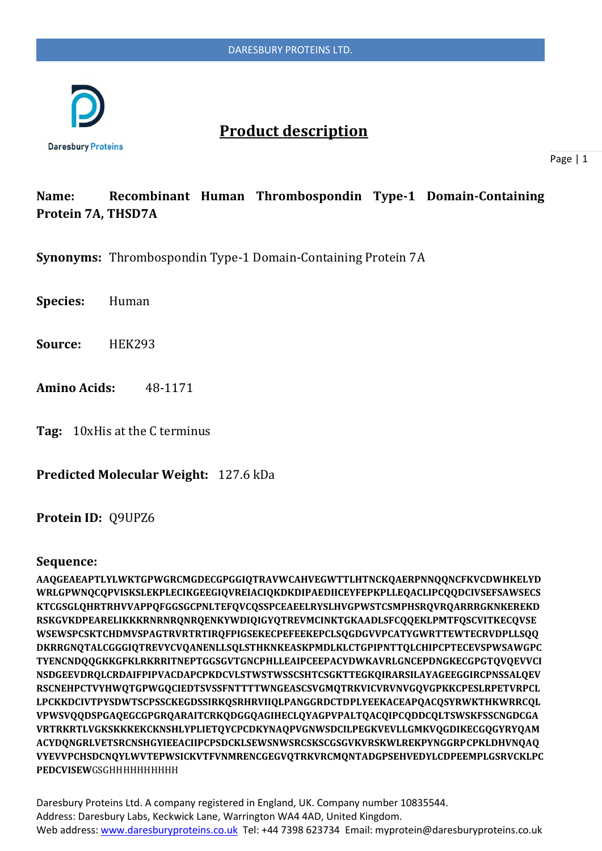

# **Product description**

Page | 1

### **Name: Recombinant Human Thrombospondin Type-1 Domain-Containing Protein 7A, THSD7A**

**Synonyms:** Thrombospondin Type-1 Domain-Containing Protein 7A

**Species:** Human

**Source:** HEK293

**Amino Acids:** 48-1171

**Tag:** 10xHis at the C terminus

**Predicted Molecular Weight:** 127.6 kDa

**Protein ID:** Q9UPZ6

#### **Sequence:**

**AAQGEAEAPTLYLWKTGPWGRCMGDECGPGGIQTRAVWCAHVEGWTTLHTNCKQAERPNNQQNCFKVCDWHKELYD WRLGPWNQCQPVISKSLEKPLECIKGEEGIQVREIACIQKDKDIPAEDIICEYFEPKPLLEQACLIPCQQDCIVSEFSAWSECS KTCGSGLQHRTRHVVAPPQFGGSGCPNLTEFQVCQSSPCEAEELRYSLHVGPWSTCSMPHSRQVRQARRRGKNKEREKD RSKGVKDPEARELIKKKRNRNRQNRQENKYWDIQIGYQTREVMCINKTGKAADLSFCQQEKLPMTFQSCVITKECQVSE WSEWSPCSKTCHDMVSPAGTRVRTRTIRQFPIGSEKECPEFEEKEPCLSQGDGVVPCATYGWRTTEWTECRVDPLLSQQ DKRRGNQTALCGGGIQTREVYCVQANENLLSQLSTHKNKEASKPMDLKLCTGPIPNTTQLCHIPCPTECEVSPWSAWGPC TYENCNDQQGKKGFKLRKRRITNEPTGGSGVTGNCPHLLEAIPCEEPACYDWKAVRLGNCEPDNGKECGPGTQVQEVVCI NSDGEEVDRQLCRDAIFPIPVACDAPCPKDCVLSTWSTWSSCSHTCSGKTTEGKQIRARSILAYAGEEGGIRCPNSSALQEV RSCNEHPCTVYHWQTGPWGQCIEDTSVSSFNTTTTWNGEASCSVGMQTRKVICVRVNVGQVGPKKCPESLRPETVRPCL LPCKKDCIVTPYSDWTSCPSSCKEGDSSIRKQSRHRVIIQLPANGGRDCTDPLYEEKACEAPQACQSYRWKTHKWRRCQL VPWSVQQDSPGAQEGCGPGRQARAITCRKQDGGQAGIHECLQYAGPVPALTQACQIPCQDDCQLTSWSKFSSCNGDCGA VRTRKRTLVGKSKKKEKCKNSHLYPLIETQYCPCDKYNAQPVGNWSDCILPEGKVEVLLGMKVQGDIKECGQGYRYQAM ACYDQNGRLVETSRCNSHGYIEEACIIPCPSDCKLSEWSNWSRCSKSCGSGVKVRSKWLREKPYNGGRPCPKLDHVNQAQ VYEVVPCHSDCNQYLWVTEPWSICKVTFVNMRENCGEGVQTRKVRCMQNTADGPSEHVEDYLCDPEEMPLGSRVCKLPC PEDCVISEW**GSGHHHHHHHHHH

Daresbury Proteins Ltd. A company registered in England, UK. Company number 10835544. Address: Daresbury Labs, Keckwick Lane, Warrington WA4 4AD, United Kingdom. Web address[: www.daresburyproteins.co.uk](http://www.daresburyproteins.co.uk/) Tel: +44 7398 623734 Email: myprotein@daresburyproteins.co.uk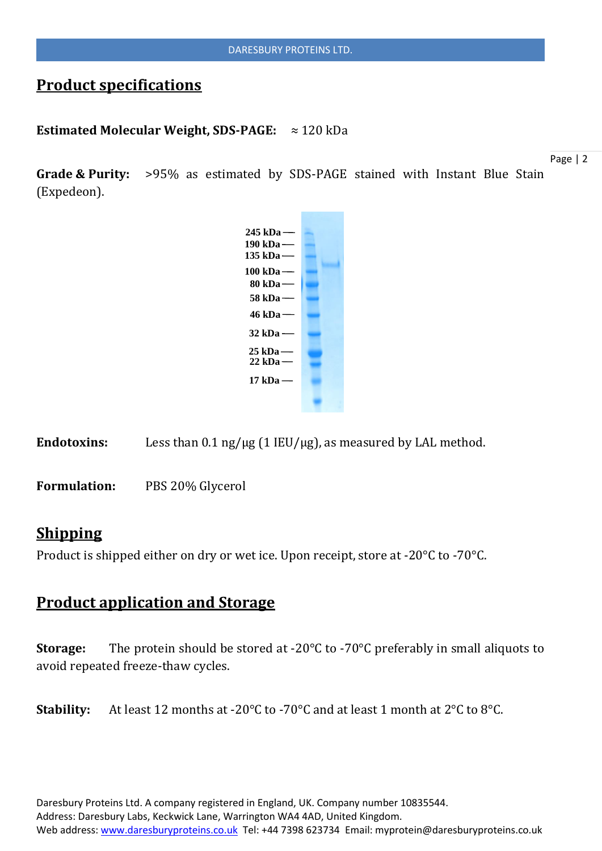# **Product specifications**

#### **Estimated Molecular Weight, SDS-PAGE:** ≈ 120 kDa

**Grade & Purity:** >95% as estimated by SDS-PAGE stained with Instant Blue Stain (Expedeon).

Page | 2



Endotoxins: Less than 0.1 ng/µg (1 IEU/µg), as measured by LAL method.

**Formulation:** PBS 20% Glycerol

### **Shipping**

Product is shipped either on dry or wet ice. Upon receipt, store at -20°C to -70°C.

### **Product application and Storage**

**Storage:** The protein should be stored at -20°C to -70°C preferably in small aliquots to avoid repeated freeze-thaw cycles.

**Stability:** At least 12 months at -20°C to -70°C and at least 1 month at 2°C to 8°C.